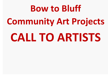# **Bow to Bluff Community Art Projects CALL TO ARTISTS**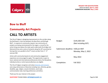

## **Bow to Bluff**

# **Community Art Projects**

# **CALL TO ARTISTS**

The City of Calgary is designing improvements to the corridor along the Northwest c-train line between the Bow River and McHugh Bluff. In response to community request, two community art projects are being commissioned for the region: a mural for the active living area (above the skate spot) underneath the bridge over Memorial Drive and a series of artworks along the LRT sound barrier fencing that runs parallel to the 9<sup>th</sup> street corridor from 1st-5<sup>th</sup> avenues NW.

Artists with community-based art and community engagement experience are encouraged to apply. This opportunity is open to local, national and international professional artists of all disciplines. Individual artists or artist teams/collectives are eligible.

The City of Calgary recognizes and value[s diversity and inclusion;](https://www.calgary.ca/cfod/hr/pages/inclusion.aspx?redirect=/cs/hr/) and unique dimensions of diversity including race, ethnicity, gender, disability, age, religion, sexual orientation, work style, communication style, learning preferences and others.

Thank you for your interest in this project.

| Budget:                          | \$145,500 CAD       |
|----------------------------------|---------------------|
|                                  | (Not including GST) |
|                                  |                     |
| Submission deadline: 4:00 pm MST |                     |
|                                  | Monday, May 2, 2022 |
|                                  |                     |
| Start:                           | May 2022            |
|                                  |                     |
| Completion:                      | <b>Fall 2022</b>    |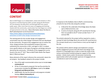

# **CONTEXT**

Bow to Bluff began as an independent, citizen-led initiative in 2011 focused on transforming the public corridor along the Northwest LRT line between the Bow River and McHugh Bluff into a great public space. After more than ten years of engaging and working closely with the community, construction has now begun on a series of improvements to the area. More information about the Bow to Bluff redevelopment can be found here:

[https://www.calgary.ca/csps/parks/locations/downtown](https://www.calgary.ca/csps/parks/locations/downtown-parks/bow-to-bluff-urban-design-framework.html)[parks/bow-to-bluff-urban-design-framework.html](https://www.calgary.ca/csps/parks/locations/downtown-parks/bow-to-bluff-urban-design-framework.html)

The starting point for the corridor design and engagement conversation was the Urban Design Framework that was developed by the community. The goal of this engagement was to confirm the vision, design priorities and revitalization projects that were outlined by the community in 2011, and again in 2017, to obtain more specific details on the types of programs and design elements desired by the community. Full details of this engagement can be found in the July 27<sup>th</sup> 2017 "Bow to Bluff Public Realm Plan Report Back // What we Heard."

Many elements of this report reference the community's desire for art projects. Key feedback related to this project include:

- One of the eight recommended actions was to include *more community art*
- Of the 13 sub-projects proposed, the top five priorities for construction included the *LRT Fence* as well as the *Active living park and Memorial Drive*.
- Additionally, the top five elements and programs included having a *Mural /community art*

In response to this feedback, Bow to Bluff is commissioning artworks for two of the sites along the corridor:

- 1. A Mural for the underside of the Bridge above the Skate spot at Memorial drive; and
- 2. A series of artworks along the LRT sound barrier fencing that runs parallel to the 9<sup>th</sup> street corridor from 1<sup>st</sup>- 5<sup>th</sup> avenues NW.

The artist(s) selected for this project will be required to create a concept for both the Bridge Mural site and the LRT sound barriers. The concept should carry a visual theme or story up the length of the site.

The artist(s) will be asked to design and implement a projectspecific engagement process that will inform the design of the artwork in a meaningful way in order to meet the needs of the various communities involved and garner support of the artistic product. Artistic teams and/or the provision mentorship opportunities which will a broader spectrum of engagement are considered an asset to this project.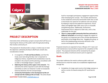#### **REQUEST FOR QUALIFICATIONS DATE OF ISSUE**: **April 11, 2022 SUBMISSION DEADLINE: May 2, 2022**





# **PROJECT DESCRIPTION**

Interested artists will develop a project concept which will focus on improving the vibrancy of the public realm through placemaking that involves community art.

The proposed art should provide a unique a creative way to meet the objectives outlined by the Bow to Bluff team at both sites. Considerations include:

- In recognition of *Truth and Reconciliation*, and that this treaty seven land along the Bow river is important to Indigenous history, respectful land considerations must be included in the artwork and the planning; consultation with an Elder or Knowledge Keeper is required.
- *Reflecting the history of the region in the artworks*. The selected artist will be required to work with the Heritage Committee as well as an historian in order to incorporate historical elements into the Concept design.
- *Community Participation in the development of the art concept and the making of the art itself*. The artist should

look for meaningful participatory engagement opportunities when developing the concept. This includes attentiveness to the residential community that borders both sites as well as the broad cross spectrum of audiences and user groups by helping to improve the pedestrian experience, ensure safety and highlight high traffic areas such as crosswalks and gathering spaces. Additionally, the Business Improvement Area is adjacent to both sites, and is a key stakeholder for the area.

• *There is a large graffiti community that lives and works in Hillhurst/ Sunnyside* and working to engage the support of this group is an important part of the concept development, particularly at the Bridge Mural site. Engaging this group, as well as the skateboarding community will assist in the success and longevity of the artworks.

Proposed artworks are expected to have a lifespan of 5-7 years and a full maintenance manual will be required at the completion of the project. The proposed artworks will be reviewed by the project team for any safety or technical concerns prior to approval.

## **Goals**

This project addresses the need to enhance public realm and infrastructure to meet the needs of an established neighborhood through the:

• Completion of a large-scale mural on the bridge overpass as well as a series of artworks along the LRT sound barrier walls.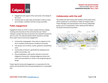

- Engagement and support of the community in the design of the mural.
- Artworks that are well-made and durable in order to stand up to weather, vandalism and last as long as possible.

## **Public engagement**

Engagement allows an artist to create a project that has a deeper meaning and connection to the community than just "décor" making it a project that they are proud of and respectful towards for years to come. The selected artist(s) will be required to consider these major areas of community engagement:

- Communities of geography- those who are adjacent to the site as residents and businesses of Hillhurst Sunnyside;
- User groups such as drivers, cyclists, gardeners and pathway users;
- Communities of interest- specifically the skateboard and graffiti communities; and
- Diverse populations, with specific attention to the local Indigenous Community- including Indigenous history and truth and reconciliation as a factor in the programming and design.

Project Specific Community Engagement is a requirement for the project and should inform the concept development in a meaningful way.

## **Collaboration with City staff**

The artist(s) will work closely with members of the project team, which includes but is not limited to: Public Art Program staff, a Project Manager and representatives from the key stakeholder groups such as Transportation, Parks, Roads and the Hillhurst Sunnyside Community Association.

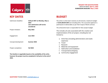

# **KEY DATES**

| Submission deadline: | 4:00 pm MST on Monday, May 2,<br>2022<br>Late submissions will not be<br>considered. | The a<br>of \$1<br>paid b |
|----------------------|--------------------------------------------------------------------------------------|---------------------------|
| Project Initiation:  | <b>May 2022</b>                                                                      | The a<br>This i<br>imple  |
| Engagement:          | <b>June 2022</b>                                                                     | limit                     |
| Concept development  | Summer 2022                                                                          | a<br>b                    |
| Project completion:  | <b>Fall 2022</b>                                                                     | C.<br>d<br>e              |

**The timeline is negotiable based on the availability of the artist, however the project must be completed in full prior to the end of 2022.**

# **BUDGET**

artist or artist team receives an all-inclusive, maximum budget 45,500.00 CDN (not including GST). The successful applicant is based on deliverables as per their Scope of Work contract.

artist/artist team is responsible for their project budget.

includes all costs associated with the creation and ementation of the art project, including but not ed to:

- Artist fees (including administration and studio expenses)
- b. Travel
- Research
- l. Materials and equipment
- e. Fabrication and installation
- f. Transportation/shipping
- g. Community engagement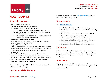#### **REQUEST FOR QUALIFICATIONS DATE OF ISSUE**: **April 11, 2022 SUBMISSION DEADLINE: May 2, 2022**



# **HOW TO APPLY**

## **Submission package**

Eligible submissions will contain:

- 1. **Letter of interest** (maximum of 500 words)
	- The artist's reason for interest in this project;
		- a. The artists intended vision or approach for this project;
		- b. Explanation as to how the community will be integrated into the process;
		- c. Identify experiences of similar scope and scale that shows the artist is suitable for this project;

#### 2. **A current resume / Curriculum Vitae**

with applicable examples of work in related areas, educational experience and contact information;

3. **Images (Maximum of 10)**

Up to 10 images of past work. One artwork per image. Include an image list with brief description of the commission, title and date of each work, and information on project partners, where applicable.

- 4. **Two professional references** who can speak to the artistic, collaborative and community experiences of the artist. Contact information must be included. Reference letters are not required.
- **5. Ensure your submission package responds to the Evaluation Criteria in the Selection Process section.**

The submission package will be evaluated based on the evaluation criteria on the following page.

## **Questions and clarifications**

Submit all questions in writing t[o artb2b@calgary.ca](mailto:artb2b@calgary.ca) prior to 4:30 PM MST on Monday May 2, 2022.

## **How to submit**

#### Email [artb2b@calgary.ca](mailto:artb2b@calgary.ca)

- and attach all the required documents in a single email.
- Email subject line should include **Bow to Bluff Community Art projects.**
- Note that the maximum file size for an email is 10 MB.
- Submissions are accepted in electronic form only.
- All submission files must be compatible with a PC.
- Links to posted media or content will not be viewed. All content must be contained within the email.
- Incomplete or late submissions will not be considered.

## **References**

References should include company name, current contact name including current telephone number, address and e-mail address. The City reserves the right to contact references without prior notification.

## **Artist teams**

If applying as a team, identify the project lead and team members; and describe how the team will be structured including the role of each team member.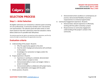

# **SELECTION PROCESS**

## **Step 1 – Artist Selection**

All eligible submissions are reviewed by a selection panel consisting of 3 arts professionals, 3 community members and 1 City business unit representative. The selection panel will select artists or artist teams based on how their submissions meet the evaluation criteria below (rated out of a possible total 100 points):

*The selection panel has the right to not award any of the submissions, and The City reserves the right to cancel/reissue this opportunity at any time.*

## **Evaluation criteria**

- A. Understanding of the project: 30 points
	- Why this opportunity appeals to the artist
	- How the artist's background and practice will contribute to this project
	- Knowledge of or connection to Calgary and/or the project's place
- B. Project experience: 20 points
	- Experience in working to a schedule; demonstrated ability to deliver a project on time
	- Demonstrated ability to meet a set budget / deliver a project on budget
	- Demonstrated ability to collaborate with project teams, other stakeholders and engage with the public
- C. Artistic practice: 20 points
- Demonstrated artistic excellence in contemporary art practice; demonstrated flexibility of practice; responsiveness to contextual opportunities
- D. Community Engagement experience: 30 points
	- Demonstrated, relevant experience in effectively working with the public to develop a project
	- Responsiveness to community engagement; understanding of the project's context in the community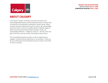#### **REQUEST FOR QUALIFICATIONS DATE OF ISSUE**: **April 11, 2022 SUBMISSION DEADLINE: May 2, 2022**



# **ABOUT CALGARY**

In the spirit of respect, reciprocity and truth, we honour and acknowledge Moh'kinsstis, and the traditional Treaty 7 territory and oral practices of the Blackfoot confederacy: Siksika, Kainai, Piikani, as well as the Îyâxe Nakoda and Tsuut'ina nations. We acknowledge that this territory is home to the Métis Nation of Alberta, Region 3 within the historical Northwest Métis homeland. Finally, we acknowledge all Nations – Indigenous and non – who live, work and play on this land, and who honour and celebrate this territory.

This sacred gathering place provides us with an opportunity to engage in and demonstrate leadership on reconciliation. Thank you for your enthusiasm and commitment to join our team on the lands of Treaty 7 territory.